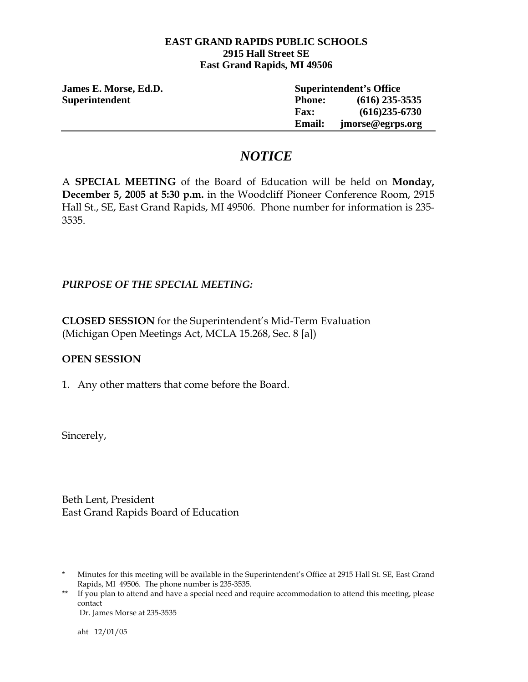#### **EAST GRAND RAPIDS PUBLIC SCHOOLS 2915 Hall Street SE East Grand Rapids, MI 49506**

| James E. Morse, Ed.D. | <b>Superintendent's Office</b> |                  |
|-----------------------|--------------------------------|------------------|
| <b>Superintendent</b> | <b>Phone:</b>                  | $(616)$ 235-3535 |
|                       | <b>Fax:</b>                    | $(616)235-6730$  |
|                       | <b>Email:</b>                  | jmorse@egrps.org |

## *NOTICE*

A **SPECIAL MEETING** of the Board of Education will be held on **Monday, December 5, 2005 at 5:30 p.m.** in the Woodcliff Pioneer Conference Room, 2915 Hall St., SE, East Grand Rapids, MI 49506. Phone number for information is 235- 3535.

### *PURPOSE OF THE SPECIAL MEETING:*

**CLOSED SESSION** for the Superintendent's Mid-Term Evaluation (Michigan Open Meetings Act, MCLA 15.268, Sec. 8 [a])

#### **OPEN SESSION**

1. Any other matters that come before the Board.

Sincerely,

Beth Lent, President East Grand Rapids Board of Education

Dr. James Morse at 235-3535

aht 12/01/05

<sup>\*</sup> Minutes for this meeting will be available in the Superintendent's Office at 2915 Hall St. SE, East Grand Rapids, MI 49506. The phone number is 235-3535.

<sup>\*\*</sup> If you plan to attend and have a special need and require accommodation to attend this meeting, please contact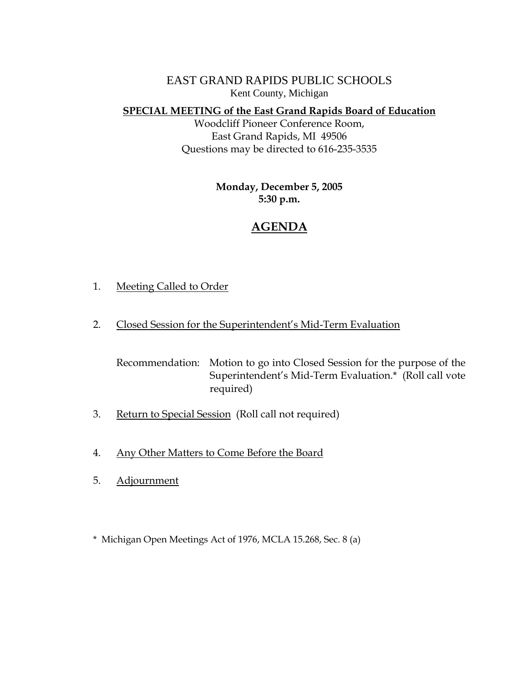EAST GRAND RAPIDS PUBLIC SCHOOLS Kent County, Michigan

**SPECIAL MEETING of the East Grand Rapids Board of Education**

Woodcliff Pioneer Conference Room, East Grand Rapids, MI 49506 Questions may be directed to 616-235-3535

> **Monday, December 5, 2005 5:30 p.m.**

# **AGENDA**

- 1. Meeting Called to Order
- 2. Closed Session for the Superintendent's Mid-Term Evaluation

 Recommendation: Motion to go into Closed Session for the purpose of the Superintendent's Mid-Term Evaluation.\* (Roll call vote required)

- 3. Return to Special Session (Roll call not required)
- 4. Any Other Matters to Come Before the Board
- 5. Adjournment

\* Michigan Open Meetings Act of 1976, MCLA 15.268, Sec. 8 (a)